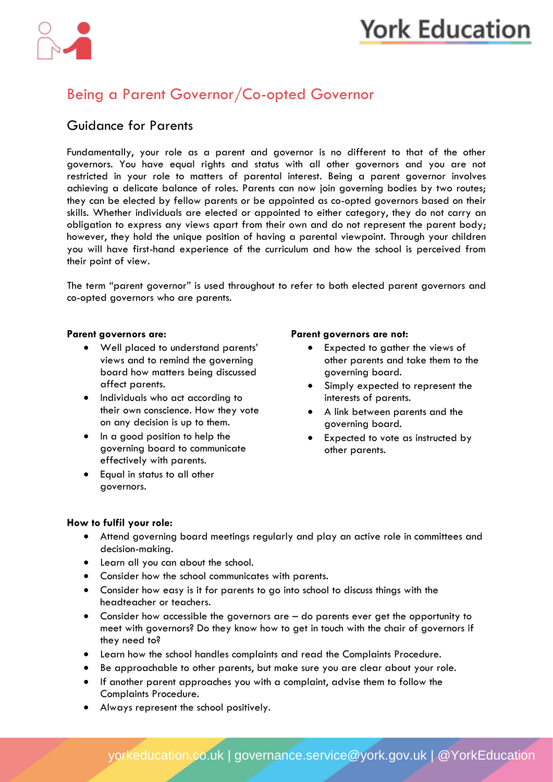# **York Education**



### Being a Parent Governor/Co-opted Governor

### Guidance for Parents

Fundamentally, your role as a parent and governor is no different to that of the other governors. You have equal rights and status with all other governors and you are not restricted in your role to matters of parental interest. Being a parent governor involves achieving a delicate balance of roles. Parents can now join governing bodies by two routes; they can be elected by fellow parents or be appointed as co-opted governors based on their skills. Whether individuals are elected or appointed to either category, they do not carry an obligation to express any views apart from their own and do not represent the parent body; however, they hold the unique position of having a parental viewpoint. Through your children you will have first-hand experience of the curriculum and how the school is perceived from their point of view.

The term "parent governor" is used throughout to refer to both elected parent governors and co-opted governors who are parents.

- Well placed to understand parents' views and to remind the governing board how matters being discussed affect parents.
- Individuals who act according to their own conscience. How they vote on any decision is up to them.
- In a good position to help the governing board to communicate effectively with parents.
- Equal in status to all other governors.

#### **Parent governors are: Parent governors are not:**

- Expected to gather the views of other parents and take them to the governing board.
- Simply expected to represent the interests of parents.
- A link between parents and the governing board.
- Expected to vote as instructed by other parents.

#### **How to fulfil your role:**

- Attend governing board meetings regularly and play an active role in committees and decision-making.
- Learn all you can about the school.
- Consider how the school communicates with parents.
- Consider how easy is it for parents to go into school to discuss things with the headteacher or teachers.
- Consider how accessible the governors are do parents ever get the opportunity to meet with governors? Do they know how to get in touch with the chair of governors if they need to?
- Learn how the school handles complaints and read the Complaints Procedure.
- Be approachable to other parents, but make sure you are clear about your role.
- If another parent approaches you with a complaint, advise them to follow the Complaints Procedure.
- Always represent the school positively.